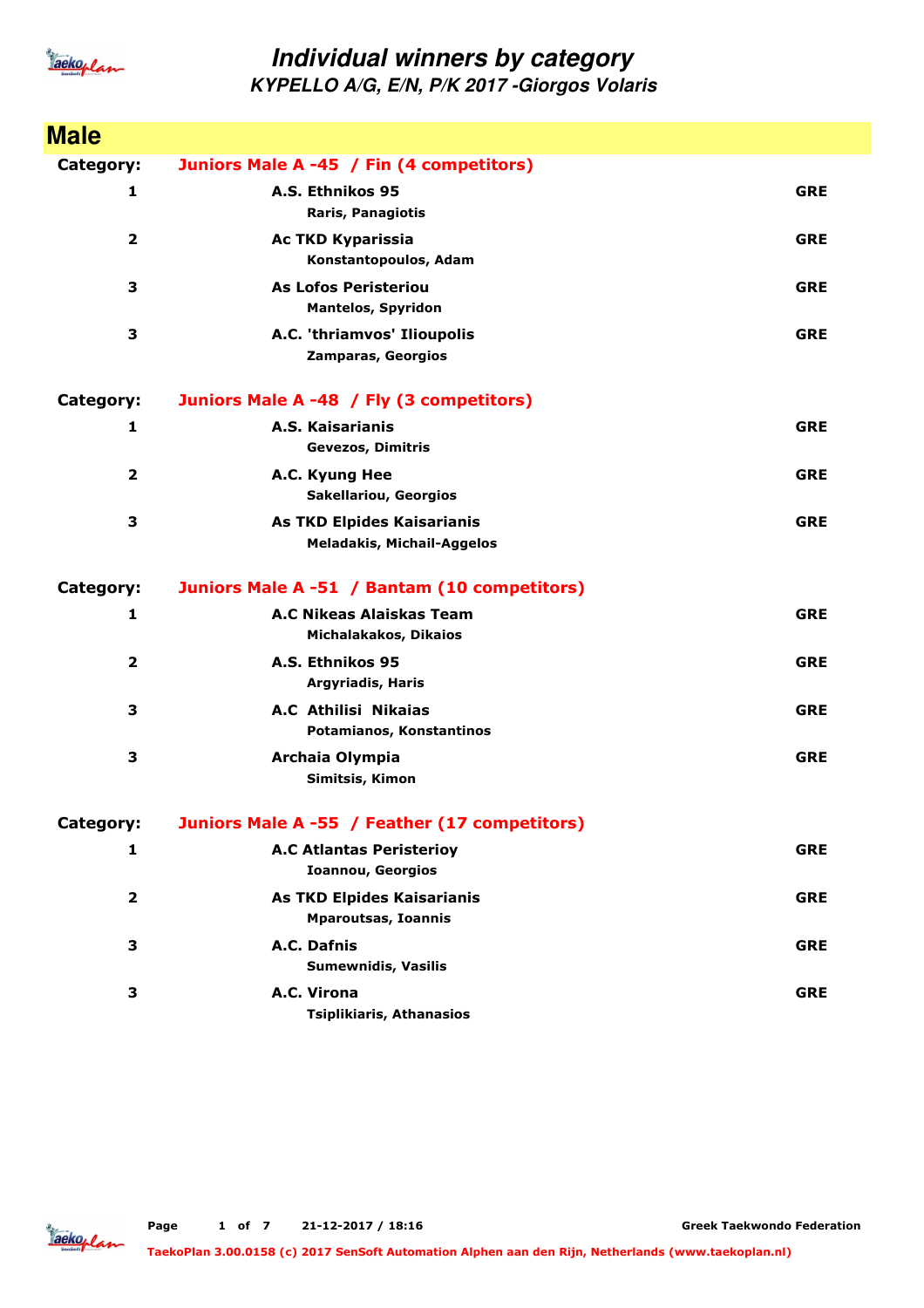

**KYPELLO A/G, E/N, P/K 2017 -Giorgos Volaris**

| <b>Male</b>             |                                                                 |            |
|-------------------------|-----------------------------------------------------------------|------------|
| Category:               | Juniors Male A -45 / Fin (4 competitors)                        |            |
| 1                       | A.S. Ethnikos 95<br>Raris, Panagiotis                           | <b>GRE</b> |
| $\overline{\mathbf{2}}$ | <b>Ac TKD Kyparissia</b><br>Konstantopoulos, Adam               | <b>GRE</b> |
| 3                       | <b>As Lofos Peristeriou</b><br><b>Mantelos, Spyridon</b>        | <b>GRE</b> |
| 3                       | A.C. 'thriamvos' Ilioupolis<br>Zamparas, Georgios               | <b>GRE</b> |
| Category:               | Juniors Male A -48 / Fly (3 competitors)                        |            |
| 1                       | A.S. Kaisarianis<br><b>Gevezos, Dimitris</b>                    | <b>GRE</b> |
| 2                       | A.C. Kyung Hee<br><b>Sakellariou, Georgios</b>                  | <b>GRE</b> |
| 3                       | As TKD Elpides Kaisarianis<br><b>Meladakis, Michail-Aggelos</b> | <b>GRE</b> |
| Category:               | Juniors Male A -51 / Bantam (10 competitors)                    |            |
| 1                       | A.C Nikeas Alaiskas Team<br>Michalakakos, Dikaios               | <b>GRE</b> |
| $\mathbf{2}$            | A.S. Ethnikos 95<br><b>Argyriadis, Haris</b>                    | <b>GRE</b> |
| 3                       | A.C Athilisi Nikaias<br>Potamianos, Konstantinos                | <b>GRE</b> |
| 3                       | Archaia Olympia<br>Simitsis, Kimon                              | <b>GRE</b> |
| Category:               | Juniors Male A -55 / Feather (17 competitors)                   |            |
| 1                       | <b>A.C Atlantas Peristerioy</b><br><b>Ioannou, Georgios</b>     | <b>GRE</b> |
| $\mathbf{2}$            | <b>As TKD Elpides Kaisarianis</b><br><b>Mparoutsas, Ioannis</b> | <b>GRE</b> |
| 3                       | A.C. Dafnis<br><b>Sumewnidis, Vasilis</b>                       | <b>GRE</b> |
| 3                       | A.C. Virona<br><b>Tsiplikiaris, Athanasios</b>                  | <b>GRE</b> |

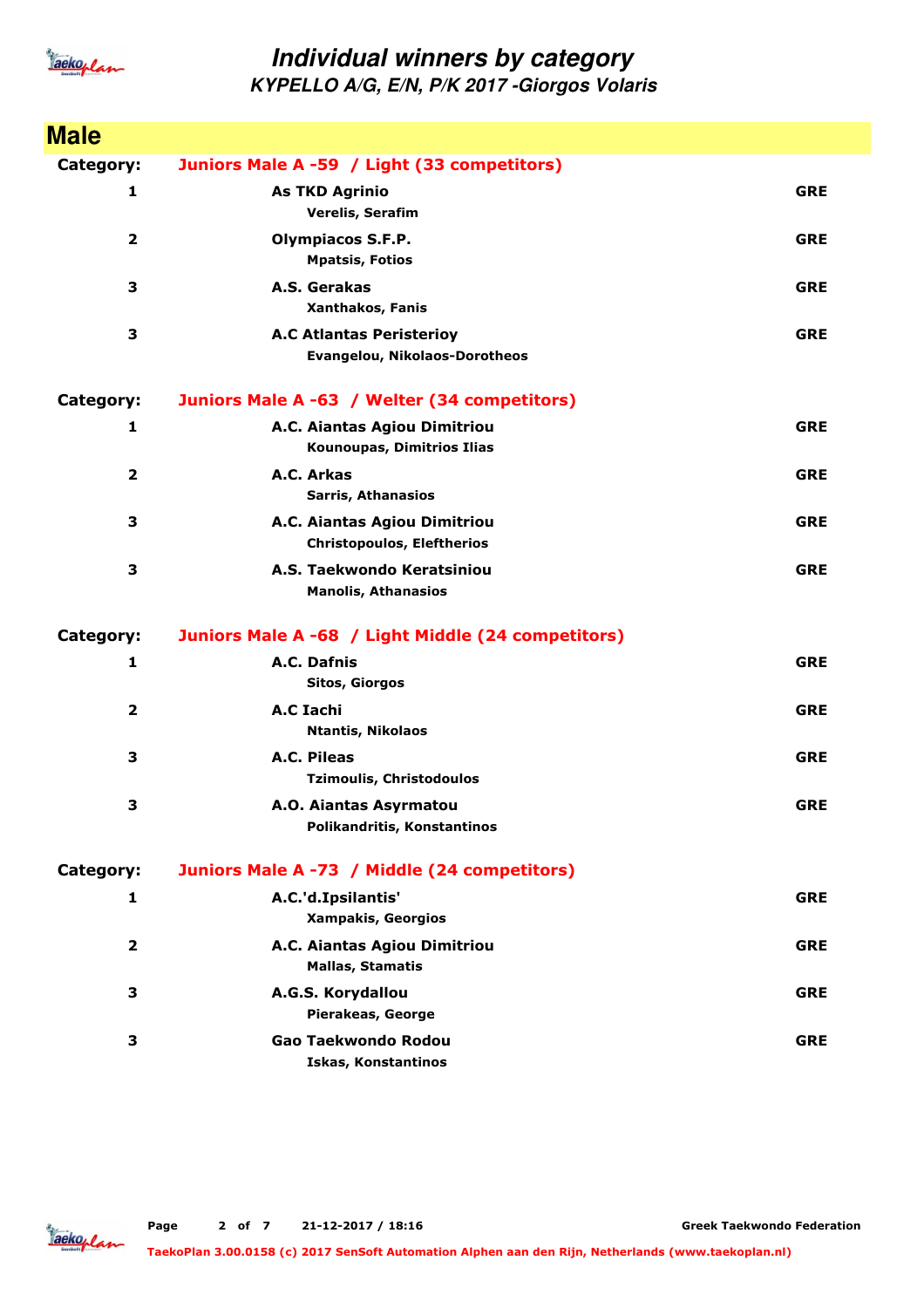

#### **Individual winners by category KYPELLO A/G, E/N, P/K 2017 -Giorgos Volaris**

**Male Category: Juniors Male A -59 / Light (33 competitors) 1 Verelis, Serafim As TKD Agrinio GRE 2 Mpatsis, Fotios Olympiacos S.F.P. GRE 3 Xanthakos, Fanis A.S. Gerakas GRE 3 Evangelou, Nikolaos-Dorotheos A.C Atlantas Peristerioy GRE Category: Juniors Male A -63 / Welter (34 competitors) 1 Kounoupas, Dimitrios Ilias A.C. Aiantas Agiou Dimitriou GRE 2 Sarris, Athanasios A.C. Arkas GRE 3 Christopoulos, Eleftherios A.C. Aiantas Agiou Dimitriou GRE 3 Manolis, Athanasios A.S. Taekwondo Keratsiniou GRE Category: Juniors Male A -68 / Light Middle (24 competitors) 1 Sitos, Giorgos A.C. Dafnis GRE 2 Ntantis, Nikolaos A.C Iachi GRE 3 Tzimoulis, Christodoulos A.C. Pileas GRE 3 Polikandritis, Konstantinos A.O. Aiantas Asyrmatou GRE Category: Juniors Male A -73 / Middle (24 competitors) 1 Xampakis, Georgios A.C.'d.Ipsilantis' GRE 2 Mallas, Stamatis A.C. Aiantas Agiou Dimitriou GRE 3 Pierakeas, George A.G.S. Korydallou GRE 3 Iskas, Konstantinos Gao Taekwondo Rodou GRE**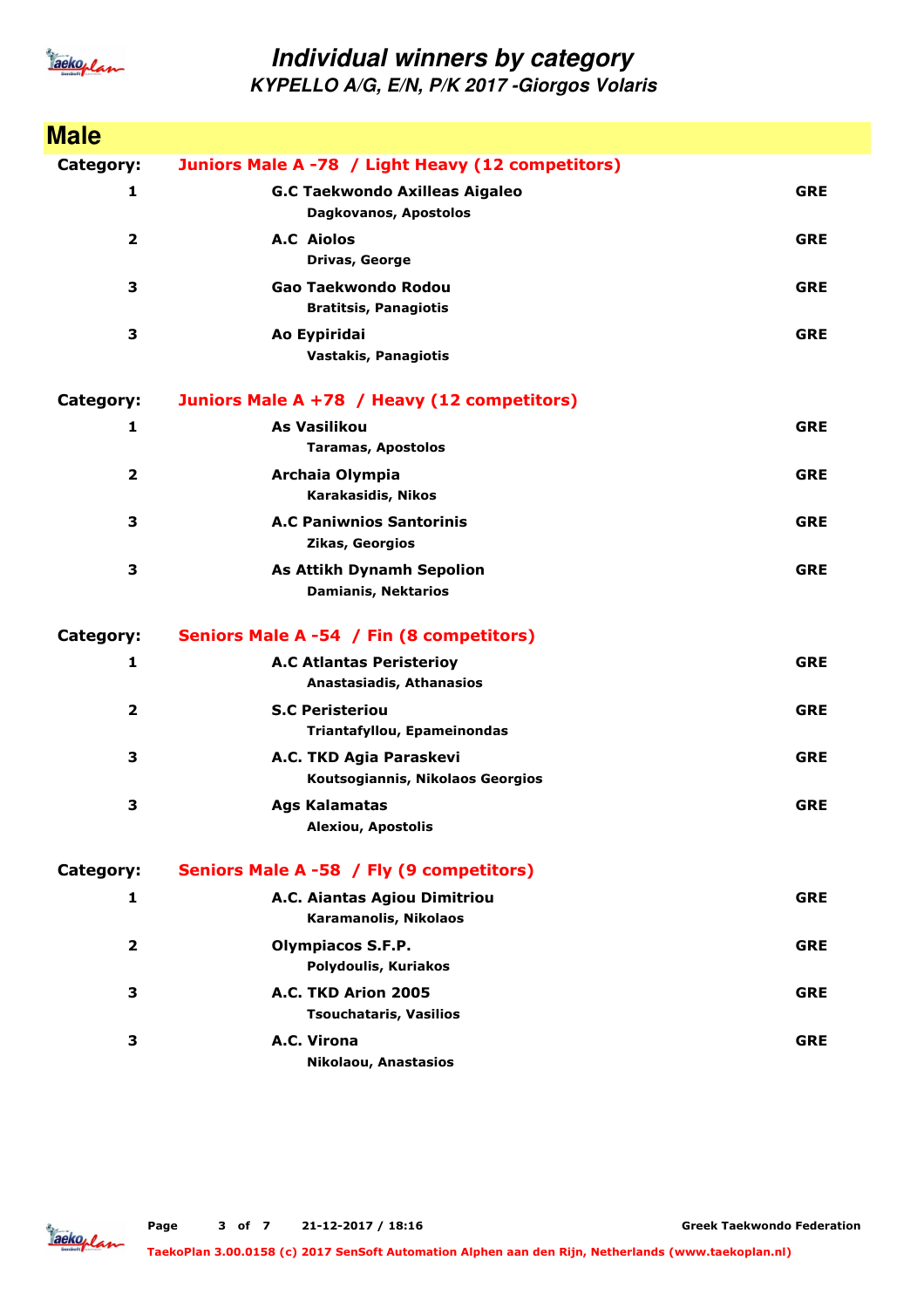

**KYPELLO A/G, E/N, P/K 2017 -Giorgos Volaris**

| <b>Male</b>    |                                                                |            |
|----------------|----------------------------------------------------------------|------------|
| Category:      | Juniors Male A -78 / Light Heavy (12 competitors)              |            |
| 1              | <b>G.C Taekwondo Axilleas Aigaleo</b><br>Dagkovanos, Apostolos | <b>GRE</b> |
| $\overline{2}$ | <b>A.C Aiolos</b><br>Drivas, George                            | <b>GRE</b> |
| 3              | Gao Taekwondo Rodou<br><b>Bratitsis, Panagiotis</b>            | <b>GRE</b> |
| 3              | Ao Eypiridai<br><b>Vastakis, Panagiotis</b>                    | <b>GRE</b> |
| Category:      | Juniors Male A +78 / Heavy (12 competitors)                    |            |
| 1              | <b>As Vasilikou</b><br><b>Taramas, Apostolos</b>               | <b>GRE</b> |
| 2              | Archaia Olympia<br>Karakasidis, Nikos                          | <b>GRE</b> |
| 3              | <b>A.C Paniwnios Santorinis</b><br>Zikas, Georgios             | <b>GRE</b> |
| 3              | <b>As Attikh Dynamh Sepolion</b><br><b>Damianis, Nektarios</b> | <b>GRE</b> |
| Category:      | Seniors Male A -54 / Fin (8 competitors)                       |            |
| 1              | <b>A.C Atlantas Peristerioy</b><br>Anastasiadis, Athanasios    | <b>GRE</b> |
| $\overline{2}$ | <b>S.C Peristeriou</b><br>Triantafyllou, Epameinondas          | <b>GRE</b> |
| 3              | A.C. TKD Agia Paraskevi<br>Koutsogiannis, Nikolaos Georgios    | <b>GRE</b> |
| 3              | <b>Ags Kalamatas</b><br><b>Alexiou, Apostolis</b>              | <b>GRE</b> |
| Category:      | Seniors Male A -58 / Fly (9 competitors)                       |            |
| 1              | A.C. Aiantas Agiou Dimitriou<br>Karamanolis, Nikolaos          | <b>GRE</b> |
| 2              | <b>Olympiacos S.F.P.</b><br>Polydoulis, Kuriakos               | <b>GRE</b> |
| 3              | A.C. TKD Arion 2005<br><b>Tsouchataris, Vasilios</b>           | <b>GRE</b> |
| 3              | A.C. Virona<br>Nikolaou, Anastasios                            | <b>GRE</b> |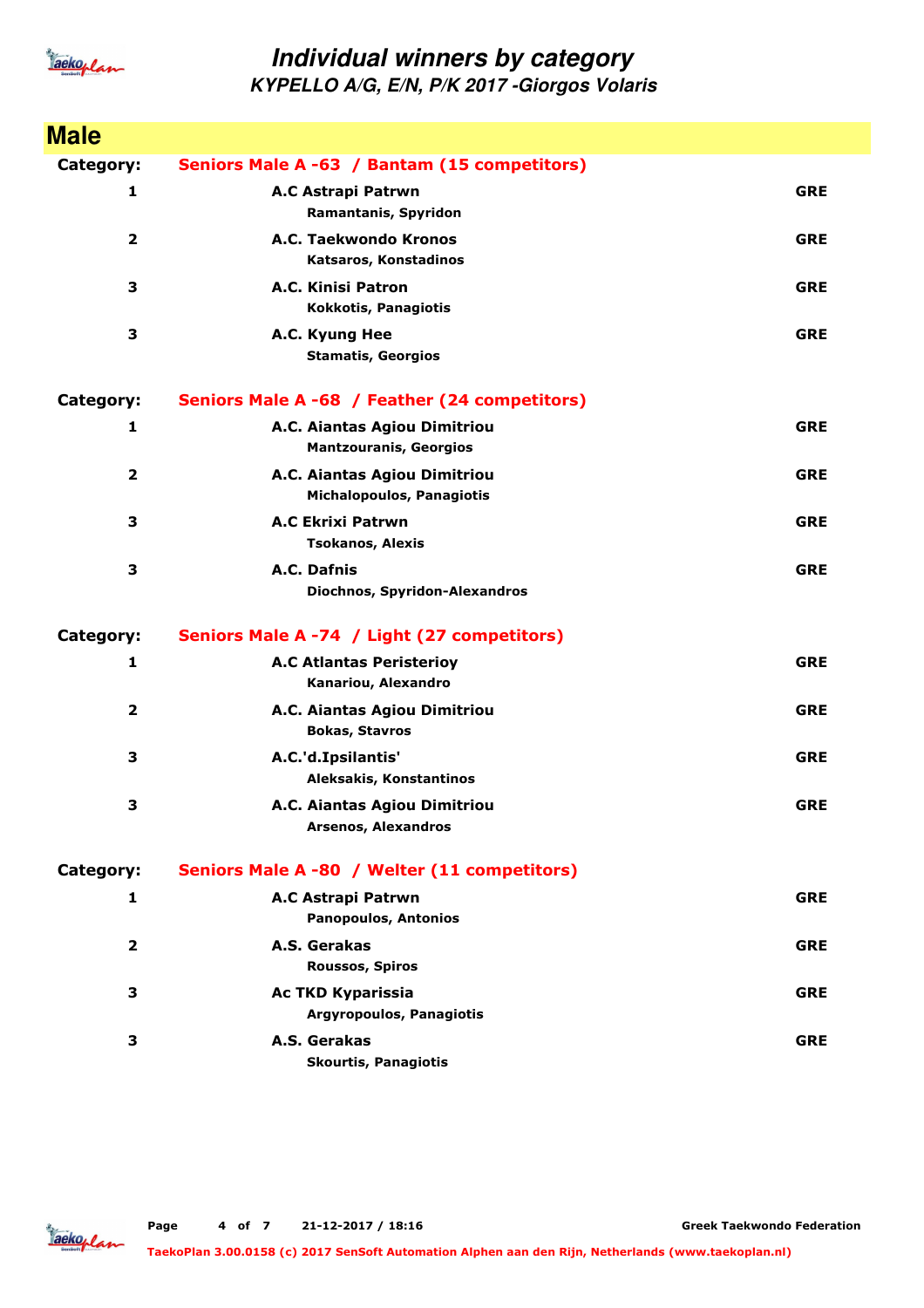

**KYPELLO A/G, E/N, P/K 2017 -Giorgos Volaris**

| <b>Male</b>             |                                                                  |            |
|-------------------------|------------------------------------------------------------------|------------|
| Category:               | Seniors Male A -63 / Bantam (15 competitors)                     |            |
| 1                       | A.C Astrapi Patrwn<br>Ramantanis, Spyridon                       | <b>GRE</b> |
| $\overline{\mathbf{2}}$ | A.C. Taekwondo Kronos<br>Katsaros, Konstadinos                   | <b>GRE</b> |
| 3                       | A.C. Kinisi Patron<br>Kokkotis, Panagiotis                       | <b>GRE</b> |
| 3                       | A.C. Kyung Hee<br><b>Stamatis, Georgios</b>                      | <b>GRE</b> |
| Category:               | Seniors Male A -68 / Feather (24 competitors)                    |            |
| 1                       | A.C. Aiantas Agiou Dimitriou<br><b>Mantzouranis, Georgios</b>    | <b>GRE</b> |
| $\mathbf{2}$            | A.C. Aiantas Agiou Dimitriou<br><b>Michalopoulos, Panagiotis</b> | <b>GRE</b> |
| 3                       | <b>A.C Ekrixi Patrwn</b><br><b>Tsokanos, Alexis</b>              | <b>GRE</b> |
| 3                       | A.C. Dafnis<br><b>Diochnos, Spyridon-Alexandros</b>              | <b>GRE</b> |
| <b>Category:</b>        | Seniors Male A -74 / Light (27 competitors)                      |            |
| 1                       | <b>A.C Atlantas Peristerioy</b><br>Kanariou, Alexandro           | <b>GRE</b> |
| 2                       | A.C. Aiantas Agiou Dimitriou<br><b>Bokas, Stavros</b>            | <b>GRE</b> |
| 3                       | A.C.'d.Ipsilantis'<br>Aleksakis, Konstantinos                    | <b>GRE</b> |
| 3                       | A.C. Aiantas Agiou Dimitriou<br><b>Arsenos, Alexandros</b>       | <b>GRE</b> |
| Category:               | Seniors Male A -80 / Welter (11 competitors)                     |            |
| 1                       | <b>A.C Astrapi Patrwn</b><br><b>Panopoulos, Antonios</b>         | <b>GRE</b> |
| 2                       | A.S. Gerakas<br><b>Roussos, Spiros</b>                           | <b>GRE</b> |
| 3                       | <b>Ac TKD Kyparissia</b><br><b>Argyropoulos, Panagiotis</b>      | <b>GRE</b> |
| 3                       | A.S. Gerakas<br><b>Skourtis, Panagiotis</b>                      | <b>GRE</b> |

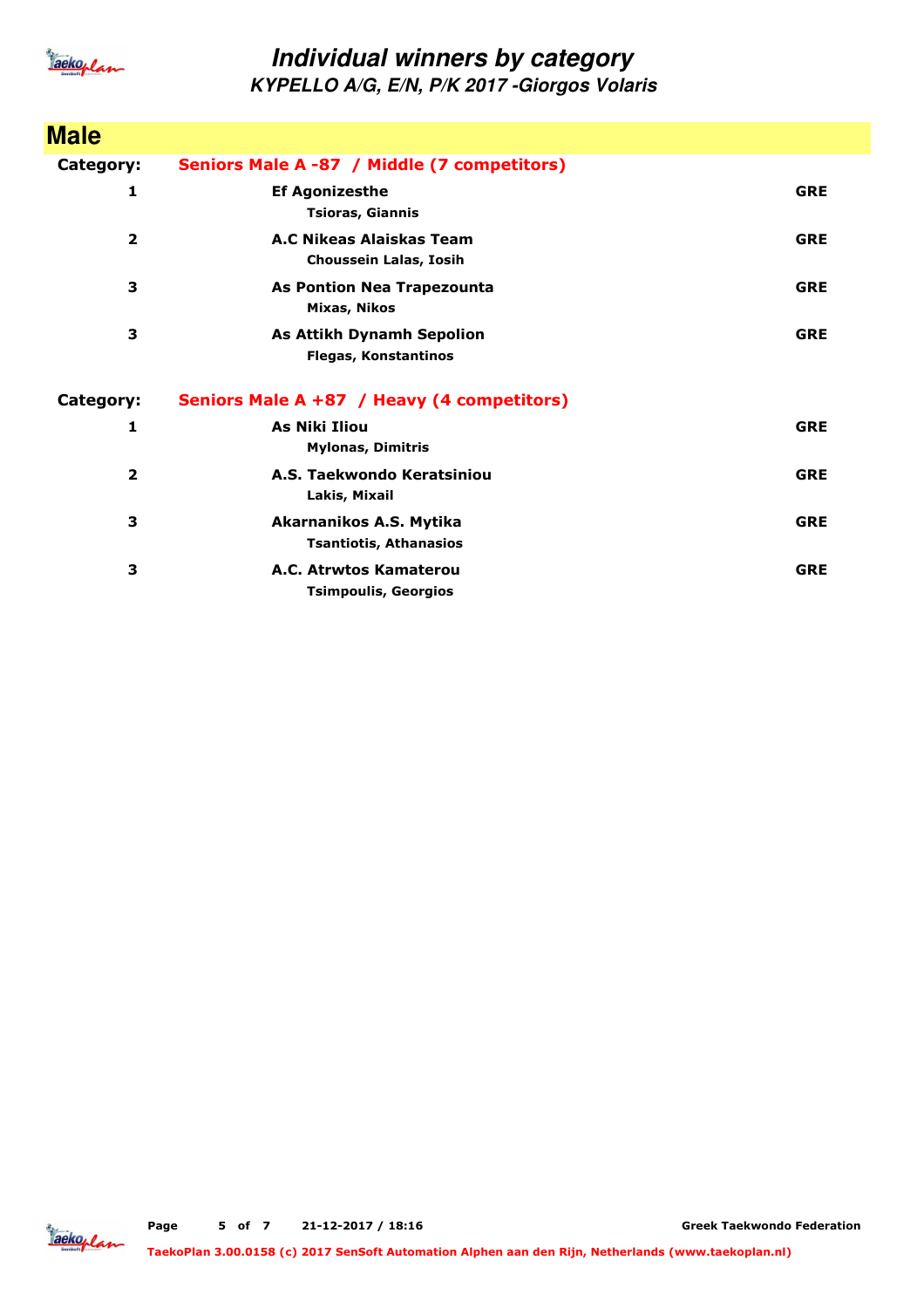

**KYPELLO A/G, E/N, P/K 2017 -Giorgos Volaris**

| <b>Male</b>             |                                                                 |            |
|-------------------------|-----------------------------------------------------------------|------------|
| Category:               | Seniors Male A -87 / Middle (7 competitors)                     |            |
| 1                       | <b>Ef Agonizesthe</b><br><b>Tsioras, Giannis</b>                | <b>GRE</b> |
| $\overline{\mathbf{2}}$ | A.C Nikeas Alaiskas Team<br>Choussein Lalas, Iosih              | <b>GRE</b> |
| 3                       | <b>As Pontion Nea Trapezounta</b><br>Mixas, Nikos               | <b>GRE</b> |
| 3                       | <b>As Attikh Dynamh Sepolion</b><br><b>Flegas, Konstantinos</b> | <b>GRE</b> |
| Category:               | Seniors Male A +87 / Heavy (4 competitors)                      |            |
| 1                       | <b>As Niki Iliou</b><br><b>Mylonas, Dimitris</b>                | <b>GRE</b> |
| $\overline{\mathbf{2}}$ | A.S. Taekwondo Keratsiniou<br>Lakis, Mixail                     | <b>GRE</b> |
| 3                       | Akarnanikos A.S. Mytika<br><b>Tsantiotis, Athanasios</b>        | <b>GRE</b> |
| 3                       | A.C. Atrwtos Kamaterou<br><b>Tsimpoulis, Georgios</b>           | <b>GRE</b> |

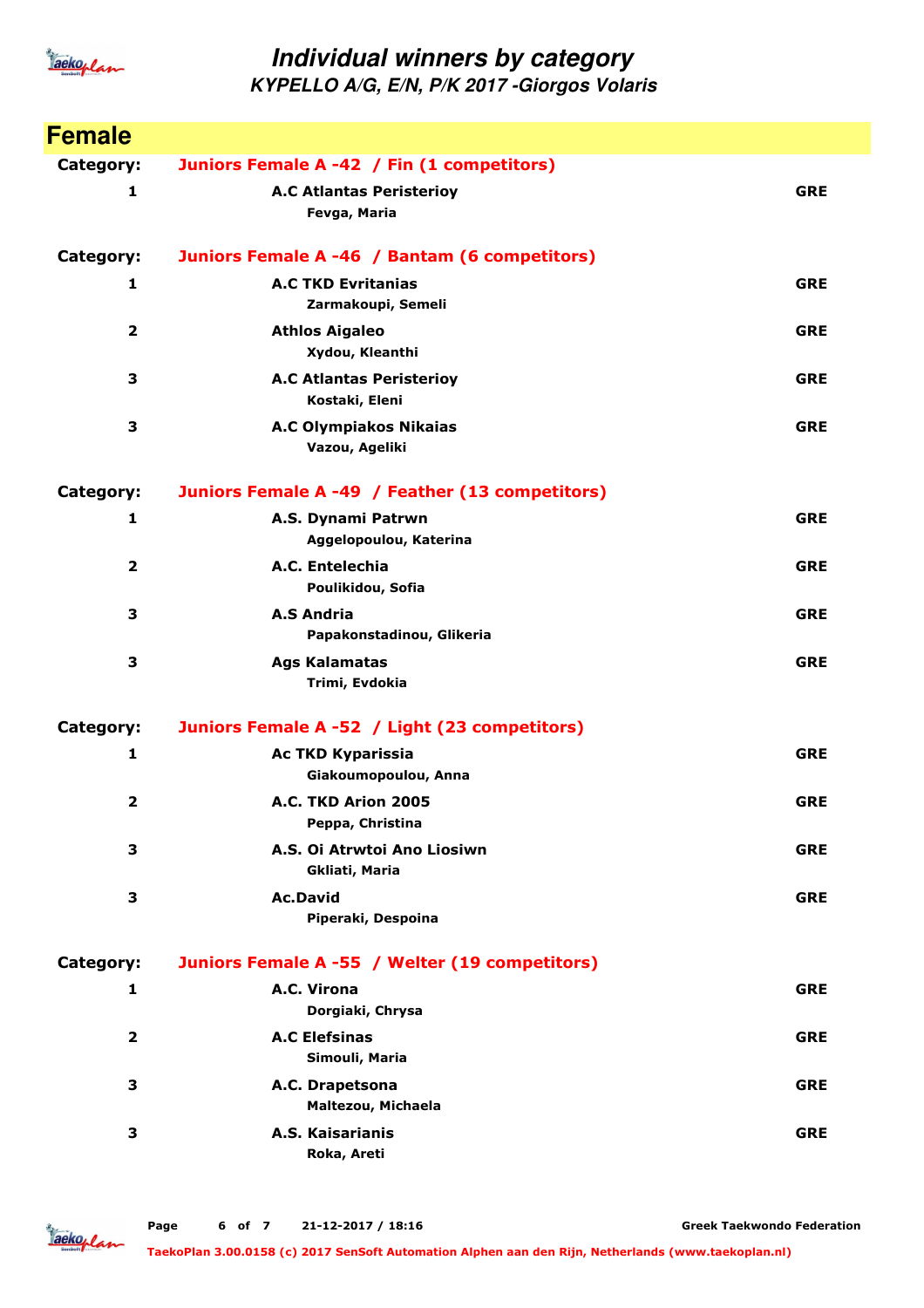

**KYPELLO A/G, E/N, P/K 2017 -Giorgos Volaris**

| <b>Female</b>           |                                                   |            |
|-------------------------|---------------------------------------------------|------------|
| Category:               | Juniors Female A -42 / Fin (1 competitors)        |            |
| 1                       | <b>A.C Atlantas Peristerioy</b><br>Fevga, Maria   | <b>GRE</b> |
| Category:               | Juniors Female A -46 / Bantam (6 competitors)     |            |
| 1                       | <b>A.C TKD Evritanias</b><br>Zarmakoupi, Semeli   | <b>GRE</b> |
| $\overline{\mathbf{2}}$ | <b>Athlos Aigaleo</b><br>Xydou, Kleanthi          | <b>GRE</b> |
| 3                       | <b>A.C Atlantas Peristerioy</b><br>Kostaki, Eleni | <b>GRE</b> |
| 3                       | <b>A.C Olympiakos Nikaias</b><br>Vazou, Ageliki   | <b>GRE</b> |
| <b>Category:</b>        | Juniors Female A -49 / Feather (13 competitors)   |            |
| 1                       | A.S. Dynami Patrwn<br>Aggelopoulou, Katerina      | <b>GRE</b> |
| $\overline{\mathbf{2}}$ | A.C. Entelechia<br>Poulikidou, Sofia              | <b>GRE</b> |
| 3                       | <b>A.S Andria</b><br>Papakonstadinou, Glikeria    | <b>GRE</b> |
| 3                       | <b>Ags Kalamatas</b><br>Trimi, Evdokia            | <b>GRE</b> |
| <b>Category:</b>        | Juniors Female A -52 / Light (23 competitors)     |            |
| 1                       | <b>Ac TKD Kyparissia</b><br>Giakoumopoulou, Anna  | <b>GRE</b> |
| $\overline{2}$          | A.C. TKD Arion 2005<br>Peppa, Christina           | <b>GRE</b> |
| 3                       | A.S. Oi Atrwtoi Ano Liosiwn<br>Gkliati, Maria     | <b>GRE</b> |
| 3                       | <b>Ac.David</b><br>Piperaki, Despoina             | <b>GRE</b> |
| <b>Category:</b>        | Juniors Female A -55 / Welter (19 competitors)    |            |
| 1                       | A.C. Virona<br>Dorgiaki, Chrysa                   | <b>GRE</b> |
| $\mathbf{2}$            | <b>A.C Elefsinas</b><br>Simouli, Maria            | <b>GRE</b> |
| 3                       | A.C. Drapetsona<br>Maltezou, Michaela             | <b>GRE</b> |
| 3                       | A.S. Kaisarianis<br>Roka, Areti                   | <b>GRE</b> |